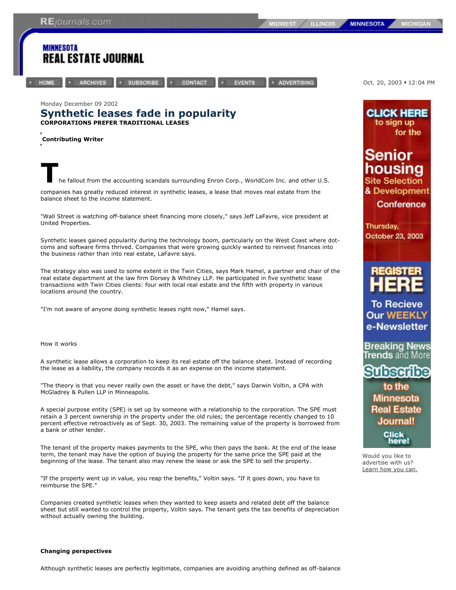## **MICHIG**

Oct. 20, 2003 = 12:04 PM

**CLICK HERE** 



to sign up for the Senior nousina Site Selection & Development Conference Thursday, October 23, 2003 **To Recieve Our WEEKLY** e-Newsletter Breaking News **Frends** and More be Minnesota **Real Estate** Journal! Click here! Would you like to advertise with us? Learn how you can.

"If the property went up in value, you reap the benefits," Voltin says. "If it goes down, you have to reimburse the SPE."

beginning of the lease. The tenant also may renew the lease or ask the SPE to sell the property.

Companies created synthetic leases when they wanted to keep assets and related debt off the balance sheet but still wanted to control the property, Voltin says. The tenant gets the tax benefits of depreciation without actually owning the building.

## **Changing perspectives**

Although synthetic leases are perfectly legitimate, companies are avoiding anything defined as off-balance